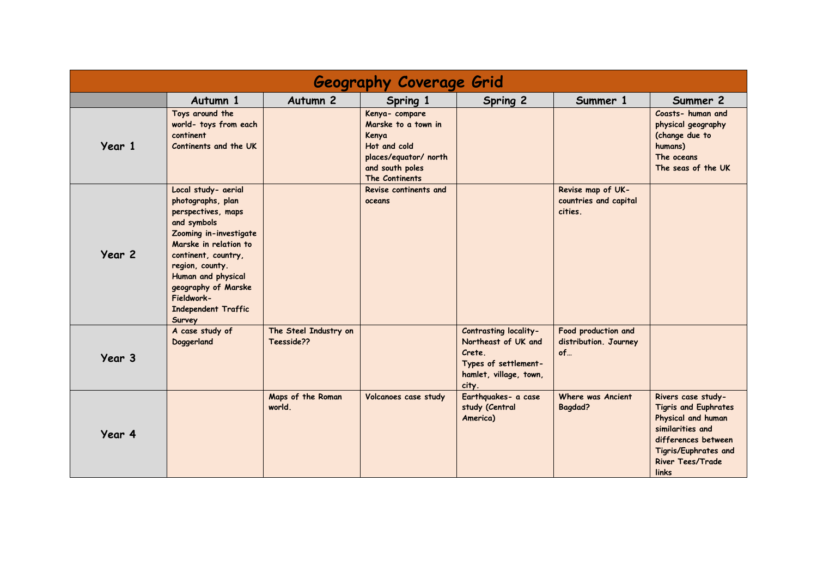| <b>Geography Coverage Grid</b> |                                                                                                                                                                                                                                                                               |                                     |                                                                                                                              |                                                                                                                   |                                                       |                                                                                                                                                                                |  |  |  |  |
|--------------------------------|-------------------------------------------------------------------------------------------------------------------------------------------------------------------------------------------------------------------------------------------------------------------------------|-------------------------------------|------------------------------------------------------------------------------------------------------------------------------|-------------------------------------------------------------------------------------------------------------------|-------------------------------------------------------|--------------------------------------------------------------------------------------------------------------------------------------------------------------------------------|--|--|--|--|
|                                | Autumn 1                                                                                                                                                                                                                                                                      | Autumn <sub>2</sub>                 | Spring 1                                                                                                                     | Spring 2                                                                                                          | Summer 1                                              | Summer 2                                                                                                                                                                       |  |  |  |  |
| Year 1                         | Toys around the<br>world- toys from each<br>continent<br>Continents and the UK                                                                                                                                                                                                |                                     | Kenya- compare<br>Marske to a town in<br>Kenya<br>Hot and cold<br>places/equator/ north<br>and south poles<br>The Continents |                                                                                                                   |                                                       | Coasts- human and<br>physical geography<br>(change due to<br>humans)<br>The oceans<br>The seas of the UK                                                                       |  |  |  |  |
| Year 2                         | Local study- aerial<br>photographs, plan<br>perspectives, maps<br>and symbols<br>Zooming in-investigate<br>Marske in relation to<br>continent, country,<br>region, county.<br>Human and physical<br>geography of Marske<br>Fieldwork-<br><b>Independent Traffic</b><br>Survey |                                     | Revise continents and<br>oceans                                                                                              |                                                                                                                   | Revise map of UK-<br>countries and capital<br>cities. |                                                                                                                                                                                |  |  |  |  |
| Year 3                         | A case study of<br>Doggerland                                                                                                                                                                                                                                                 | The Steel Industry on<br>Teesside?? |                                                                                                                              | Contrasting locality-<br>Northeast of UK and<br>Crete.<br>Types of settlement-<br>hamlet, village, town,<br>city. | Food production and<br>distribution. Journey<br>of    |                                                                                                                                                                                |  |  |  |  |
| Year 4                         |                                                                                                                                                                                                                                                                               | Maps of the Roman<br>world.         | Volcanoes case study                                                                                                         | Earthquakes- a case<br>study (Central<br>America)                                                                 | Where was Ancient<br><b>Bagdad?</b>                   | Rivers case study-<br><b>Tigris and Euphrates</b><br>Physical and human<br>similarities and<br>differences between<br>Tigris/Euphrates and<br><b>River Tees/Trade</b><br>links |  |  |  |  |